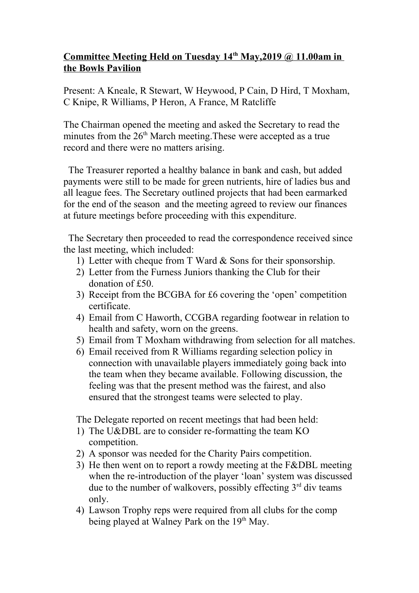## **Committee Meeting Held on Tuesday 14th May,2019 @ 11.00am in the Bowls Pavilion**

Present: A Kneale, R Stewart, W Heywood, P Cain, D Hird, T Moxham, C Knipe, R Williams, P Heron, A France, M Ratcliffe

The Chairman opened the meeting and asked the Secretary to read the minutes from the  $26<sup>th</sup>$  March meeting. These were accepted as a true record and there were no matters arising.

 The Treasurer reported a healthy balance in bank and cash, but added payments were still to be made for green nutrients, hire of ladies bus and all league fees. The Secretary outlined projects that had been earmarked for the end of the season and the meeting agreed to review our finances at future meetings before proceeding with this expenditure.

 The Secretary then proceeded to read the correspondence received since the last meeting, which included:

- 1) Letter with cheque from T Ward & Sons for their sponsorship.
- 2) Letter from the Furness Juniors thanking the Club for their donation of £50.
- 3) Receipt from the BCGBA for £6 covering the 'open' competition certificate.
- 4) Email from C Haworth, CCGBA regarding footwear in relation to health and safety, worn on the greens.
- 5) Email from T Moxham withdrawing from selection for all matches.
- 6) Email received from R Williams regarding selection policy in connection with unavailable players immediately going back into the team when they became available. Following discussion, the feeling was that the present method was the fairest, and also ensured that the strongest teams were selected to play.

The Delegate reported on recent meetings that had been held:

- 1) The U&DBL are to consider re-formatting the team KO competition.
- 2) A sponsor was needed for the Charity Pairs competition.
- 3) He then went on to report a rowdy meeting at the F&DBL meeting when the re-introduction of the player 'loan' system was discussed due to the number of walkovers, possibly effecting  $3<sup>rd</sup>$  div teams only.
- 4) Lawson Trophy reps were required from all clubs for the comp being played at Walney Park on the 19<sup>th</sup> May.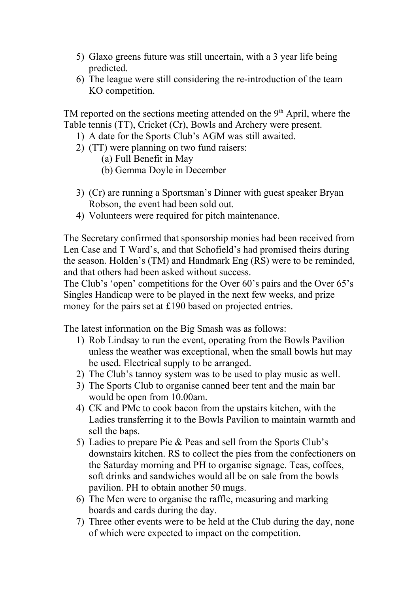- 5) Glaxo greens future was still uncertain, with a 3 year life being predicted.
- 6) The league were still considering the re-introduction of the team KO competition.

TM reported on the sections meeting attended on the 9<sup>th</sup> April, where the Table tennis (TT), Cricket (Cr), Bowls and Archery were present.

- 1) A date for the Sports Club's AGM was still awaited.
- 2) (TT) were planning on two fund raisers:
	- (a) Full Benefit in May
	- (b) Gemma Doyle in December
- 3) (Cr) are running a Sportsman's Dinner with guest speaker Bryan Robson, the event had been sold out.
- 4) Volunteers were required for pitch maintenance.

The Secretary confirmed that sponsorship monies had been received from Len Case and T Ward's, and that Schofield's had promised theirs during the season. Holden's (TM) and Handmark Eng (RS) were to be reminded, and that others had been asked without success.

The Club's 'open' competitions for the Over 60's pairs and the Over 65's Singles Handicap were to be played in the next few weeks, and prize money for the pairs set at £190 based on projected entries.

The latest information on the Big Smash was as follows:

- 1) Rob Lindsay to run the event, operating from the Bowls Pavilion unless the weather was exceptional, when the small bowls hut may be used. Electrical supply to be arranged.
- 2) The Club's tannoy system was to be used to play music as well.
- 3) The Sports Club to organise canned beer tent and the main bar would be open from 10.00am.
- 4) CK and PMc to cook bacon from the upstairs kitchen, with the Ladies transferring it to the Bowls Pavilion to maintain warmth and sell the baps.
- 5) Ladies to prepare Pie & Peas and sell from the Sports Club's downstairs kitchen. RS to collect the pies from the confectioners on the Saturday morning and PH to organise signage. Teas, coffees, soft drinks and sandwiches would all be on sale from the bowls pavilion. PH to obtain another 50 mugs.
- 6) The Men were to organise the raffle, measuring and marking boards and cards during the day.
- 7) Three other events were to be held at the Club during the day, none of which were expected to impact on the competition.